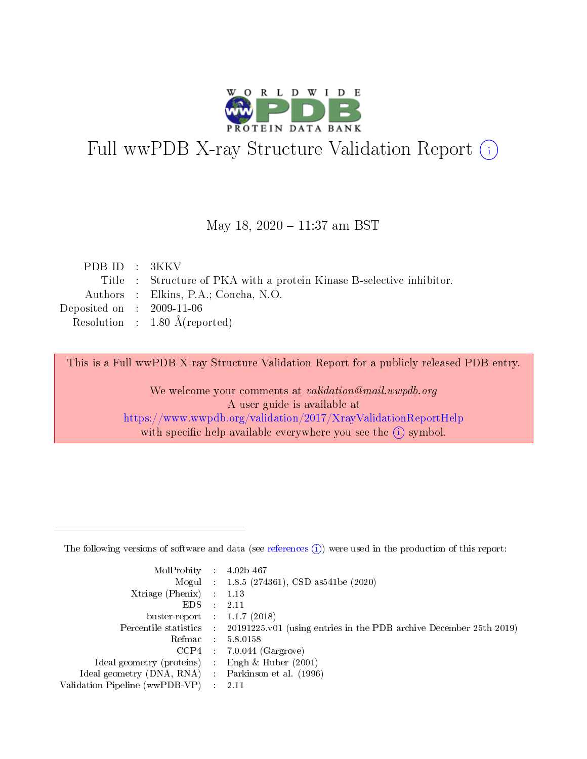

# Full wwPDB X-ray Structure Validation Report (i)

#### May 18, 2020 - 11:37 am BST

| PDB ID $: 3KKV$             |                                                                       |
|-----------------------------|-----------------------------------------------------------------------|
|                             | Title : Structure of PKA with a protein Kinase B-selective inhibitor. |
|                             | Authors : Elkins, P.A.; Concha, N.O.                                  |
| Deposited on : $2009-11-06$ |                                                                       |
|                             | Resolution : $1.80 \text{ Å}$ (reported)                              |
|                             |                                                                       |

This is a Full wwPDB X-ray Structure Validation Report for a publicly released PDB entry.

We welcome your comments at validation@mail.wwpdb.org A user guide is available at <https://www.wwpdb.org/validation/2017/XrayValidationReportHelp> with specific help available everywhere you see the  $(i)$  symbol.

The following versions of software and data (see [references](https://www.wwpdb.org/validation/2017/XrayValidationReportHelp#references)  $(1)$ ) were used in the production of this report:

| MolProbity :                   |               | $4.02b - 467$                                                               |
|--------------------------------|---------------|-----------------------------------------------------------------------------|
|                                |               | Mogul : $1.8.5$ (274361), CSD as 541be (2020)                               |
| $X$ triage (Phenix) :          |               | 1.13                                                                        |
| EDS.                           |               | 2.11                                                                        |
| buster-report : $1.1.7$ (2018) |               |                                                                             |
| Percentile statistics :        |               | $20191225 \text{v}01$ (using entries in the PDB archive December 25th 2019) |
| Refmac :                       |               | 5.8.0158                                                                    |
| $CCP4$ :                       |               | $7.0.044$ (Gargrove)                                                        |
| Ideal geometry (proteins) :    |               | Engh $\&$ Huber (2001)                                                      |
| Ideal geometry (DNA, RNA) :    |               | Parkinson et al. (1996)                                                     |
| Validation Pipeline (wwPDB-VP) | $\mathcal{L}$ | 2.11                                                                        |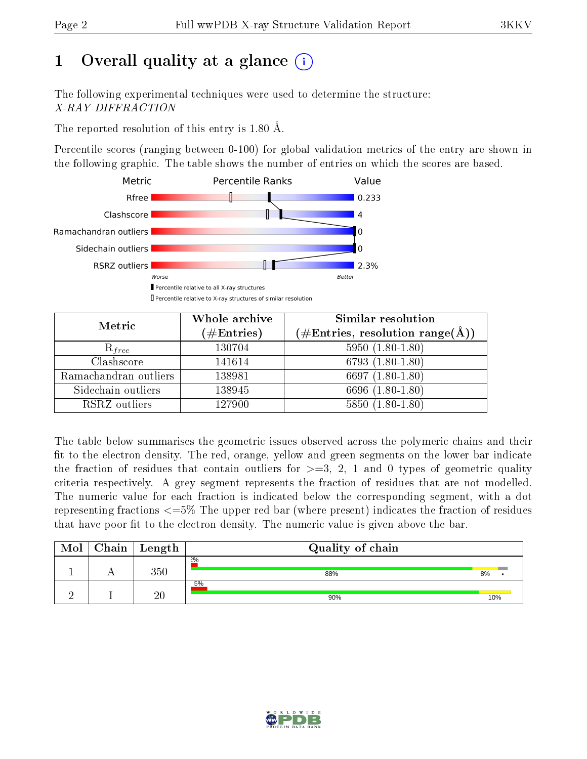# 1 [O](https://www.wwpdb.org/validation/2017/XrayValidationReportHelp#overall_quality)verall quality at a glance  $(i)$

The following experimental techniques were used to determine the structure: X-RAY DIFFRACTION

The reported resolution of this entry is 1.80 Å.

Percentile scores (ranging between 0-100) for global validation metrics of the entry are shown in the following graphic. The table shows the number of entries on which the scores are based.



| Metric                | Whole archive<br>$(\#\text{Entries})$ | Similar resolution<br>$(\#\text{Entries},\,\text{resolution}\,\,\text{range}(\textup{\AA}))$ |
|-----------------------|---------------------------------------|----------------------------------------------------------------------------------------------|
| $R_{free}$            | 130704                                | $5950(1.80-1.80)$                                                                            |
| Clashscore            | 141614                                | $6793(1.80-1.80)$                                                                            |
| Ramachandran outliers | 138981                                | 6697 $(1.80-1.80)$                                                                           |
| Sidechain outliers    | 138945                                | 6696 (1.80-1.80)                                                                             |
| RSRZ outliers         | 127900                                | $5850(1.80-1.80)$                                                                            |

The table below summarises the geometric issues observed across the polymeric chains and their fit to the electron density. The red, orange, yellow and green segments on the lower bar indicate the fraction of residues that contain outliers for  $>=3, 2, 1$  and 0 types of geometric quality criteria respectively. A grey segment represents the fraction of residues that are not modelled. The numeric value for each fraction is indicated below the corresponding segment, with a dot representing fractions  $\epsilon=5\%$  The upper red bar (where present) indicates the fraction of residues that have poor fit to the electron density. The numeric value is given above the bar.

| Mol | Chain <sup>1</sup> | Length | Quality of chain |     |
|-----|--------------------|--------|------------------|-----|
|     |                    | 350    | 2%<br>88%        | 8%  |
|     |                    | 20     | 5%<br>90%        | 10% |

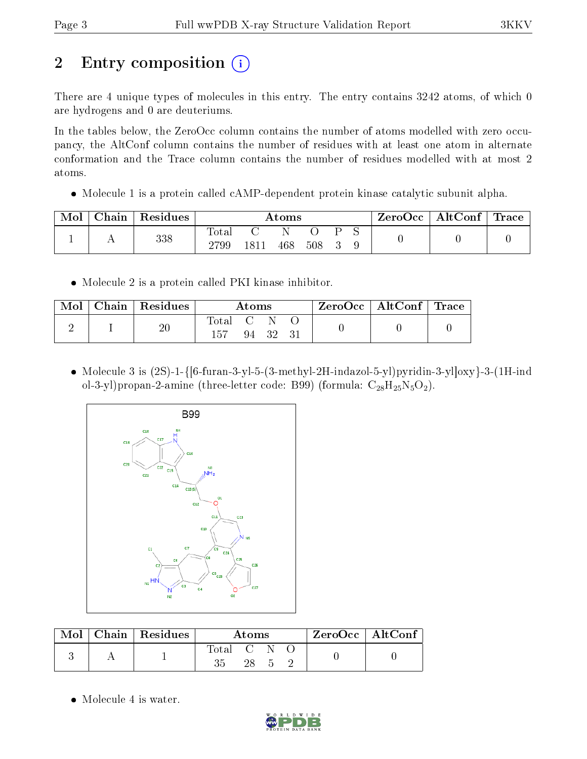# 2 Entry composition  $\left( \cdot \right)$

There are 4 unique types of molecules in this entry. The entry contains 3242 atoms, of which 0 are hydrogens and 0 are deuteriums.

In the tables below, the ZeroOcc column contains the number of atoms modelled with zero occupancy, the AltConf column contains the number of residues with at least one atom in alternate conformation and the Trace column contains the number of residues modelled with at most 2 atoms.

• Molecule 1 is a protein called cAMP-dependent protein kinase catalytic subunit alpha.

| Mol | $\Delta$ hain | Residues | $\rm{Atoms}$           |      |     |     |  | $\text{ZeroOcc} \mid \text{AltConf} \mid$ | Trace |  |
|-----|---------------|----------|------------------------|------|-----|-----|--|-------------------------------------------|-------|--|
|     |               | 338      | $_{\rm Total}$<br>2799 | 1811 | 468 | 508 |  |                                           |       |  |

Molecule 2 is a protein called PKI kinase inhibitor.

| Mol | $\mid$ Chain $\mid$ Residues | Atoms   |  |          |  | ZeroOcc   AltConf   Trace |  |
|-----|------------------------------|---------|--|----------|--|---------------------------|--|
|     | 20                           | Total C |  | 94 32 31 |  |                           |  |

 Molecule 3 is (2S)-1-{[6-furan-3-yl-5-(3-methyl-2H-indazol-5-yl)pyridin-3-yl]oxy}-3-(1H-ind ol-3-yl)propan-2-amine (three-letter code: B99) (formula:  $C_{28}H_{25}N_5O_2$ ).



|  | $\text{Mol}$   Chain   Residues $\textsuperscript{!}$ | Atoms     |    | $\rm ZeroOcc \mid AltConf$ |  |  |  |
|--|-------------------------------------------------------|-----------|----|----------------------------|--|--|--|
|  |                                                       | Total C N | 28 |                            |  |  |  |

• Molecule 4 is water.

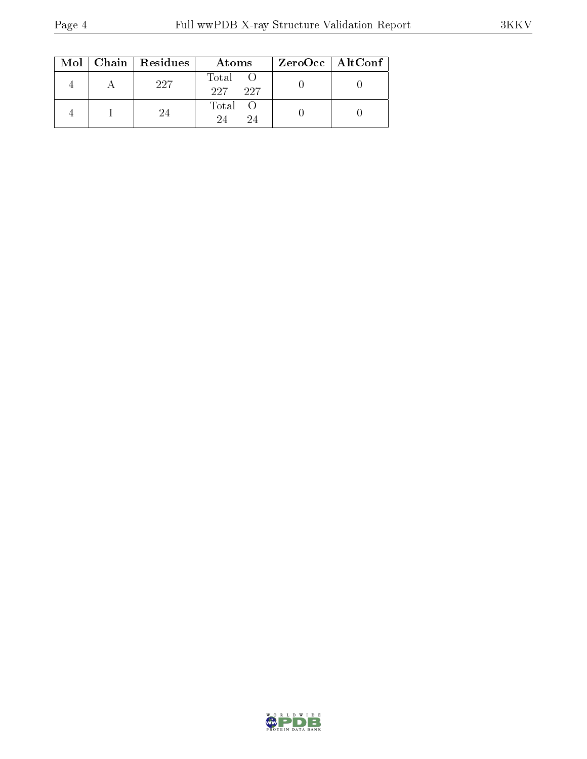|  | Mol   Chain   Residues | Atoms               | ZeroOcc   AltConf |
|--|------------------------|---------------------|-------------------|
|  | 227                    | Total<br>227<br>227 |                   |
|  | 24                     | Total<br>9.4<br>94  |                   |

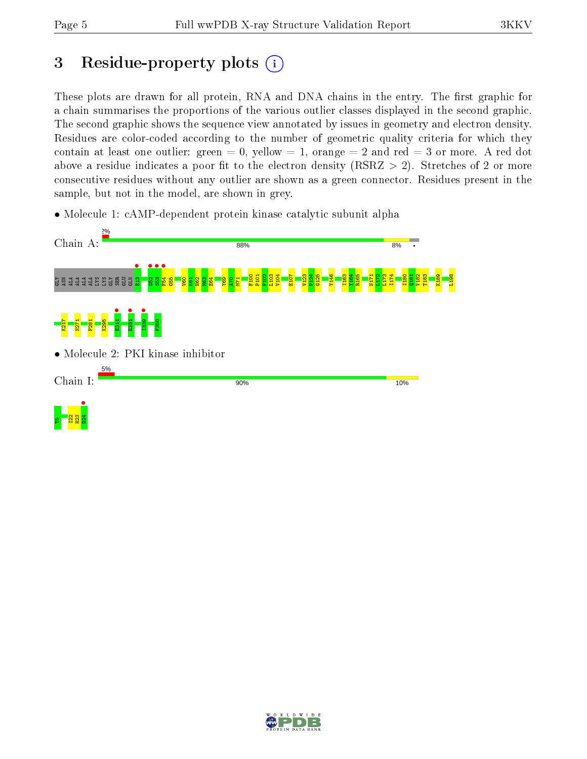# 3 Residue-property plots  $(i)$

These plots are drawn for all protein, RNA and DNA chains in the entry. The first graphic for a chain summarises the proportions of the various outlier classes displayed in the second graphic. The second graphic shows the sequence view annotated by issues in geometry and electron density. Residues are color-coded according to the number of geometric quality criteria for which they contain at least one outlier: green  $= 0$ , yellow  $= 1$ , orange  $= 2$  and red  $= 3$  or more. A red dot above a residue indicates a poor fit to the electron density (RSRZ  $> 2$ ). Stretches of 2 or more consecutive residues without any outlier are shown as a green connector. Residues present in the sample, but not in the model, are shown in grey.

• Molecule 1: cAMP-dependent protein kinase catalytic subunit alpha



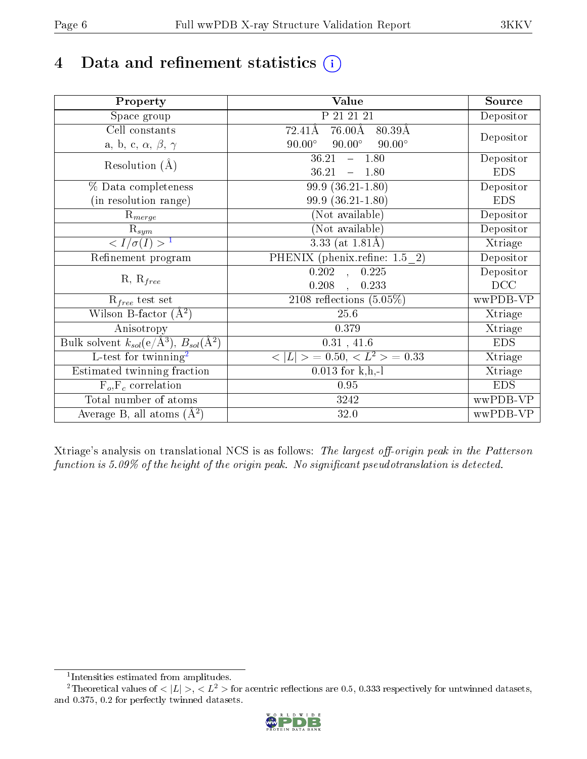# 4 Data and refinement statistics  $(i)$

| Property                                                             | Value                                                    | Source     |
|----------------------------------------------------------------------|----------------------------------------------------------|------------|
| Space group                                                          | P 21 21 21                                               | Depositor  |
| Cell constants                                                       | $76.00\text{\AA}$<br>72.41Å<br>$80.39\text{\AA}$         |            |
| a, b, c, $\alpha$ , $\beta$ , $\gamma$                               | $90.00^\circ$<br>$90.00^\circ$<br>$90.00^\circ$          | Depositor  |
| Resolution $(A)$                                                     | 36.21<br>$-1.80$                                         | Depositor  |
|                                                                      | 36.21<br>$-1.80$                                         | <b>EDS</b> |
| % Data completeness                                                  | 99.9 (36.21-1.80)                                        | Depositor  |
| (in resolution range)                                                | $99.9(36.21-1.80)$                                       | <b>EDS</b> |
| $R_{merge}$                                                          | (Not available)                                          | Depositor  |
| $\mathrm{R}_{sym}$                                                   | (Not available)                                          | Depositor  |
| $\langle I/\sigma(I) \rangle^{-1}$                                   | $\overline{3.33}$ (at 1.81Å)                             | Xtriage    |
| Refinement program                                                   | PHENIX (phenix.refine: 1.5 2)                            | Depositor  |
|                                                                      | 0.225<br>$\overline{0.202}$ ,                            | Depositor  |
| $R, R_{free}$                                                        | 0.208<br>0.233<br>$\mathbf{A}$                           | DCC        |
| $R_{free}$ test set                                                  | 2108 reflections $(5.05\%)$                              | wwPDB-VP   |
| Wilson B-factor $(A^2)$                                              | 25.6                                                     | Xtriage    |
| Anisotropy                                                           | 0.379                                                    | Xtriage    |
| Bulk solvent $k_{sol}(e/\mathring{A}^3)$ , $B_{sol}(\mathring{A}^2)$ | 0.31, 41.6                                               | <b>EDS</b> |
| $L$ -test for twinning <sup>2</sup>                                  | $\langle  L  \rangle = 0.50, \langle L^2 \rangle = 0.33$ | Xtriage    |
| Estimated twinning fraction                                          | $0.013$ for k,h,-l                                       | Xtriage    |
| $F_o, F_c$ correlation                                               | 0.95                                                     | <b>EDS</b> |
| Total number of atoms                                                | 3242                                                     | wwPDB-VP   |
| Average B, all atoms $(A^2)$                                         | 32.0                                                     | wwPDB-VP   |

Xtriage's analysis on translational NCS is as follows: The largest off-origin peak in the Patterson function is  $5.09\%$  of the height of the origin peak. No significant pseudotranslation is detected.

<sup>&</sup>lt;sup>2</sup>Theoretical values of  $\langle |L| \rangle$ ,  $\langle L^2 \rangle$  for acentric reflections are 0.5, 0.333 respectively for untwinned datasets, and 0.375, 0.2 for perfectly twinned datasets.



<span id="page-5-1"></span><span id="page-5-0"></span><sup>1</sup> Intensities estimated from amplitudes.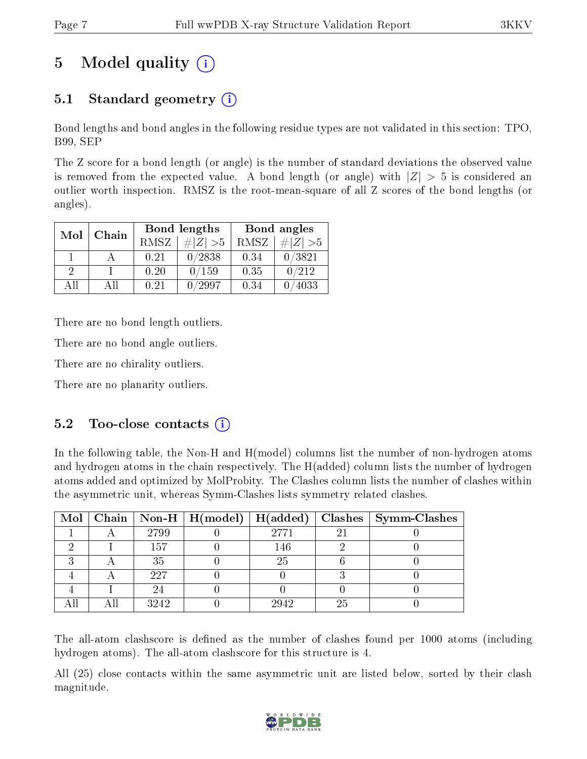# 5 Model quality  $(i)$

## 5.1 Standard geometry  $(i)$

Bond lengths and bond angles in the following residue types are not validated in this section: TPO, B99, SEP

The Z score for a bond length (or angle) is the number of standard deviations the observed value is removed from the expected value. A bond length (or angle) with  $|Z| > 5$  is considered an outlier worth inspection. RMSZ is the root-mean-square of all Z scores of the bond lengths (or angles).

| Mol | Chain |      | Bond lengths | Bond angles |          |  |
|-----|-------|------|--------------|-------------|----------|--|
|     |       | RMSZ | $\# Z  > 5$  | RMSZ        | # Z  > 5 |  |
|     |       | 0.21 | 0/2838       | 0.34        | 0/3821   |  |
| 9   |       | 0.20 | 0/159        | 0.35        | 0/212    |  |
| ΔH  | ΑH    | 0.21 | '2997        | 0.34        | 4033     |  |

There are no bond length outliers.

There are no bond angle outliers.

There are no chirality outliers.

There are no planarity outliers.

### $5.2$  Too-close contacts  $(i)$

In the following table, the Non-H and H(model) columns list the number of non-hydrogen atoms and hydrogen atoms in the chain respectively. The H(added) column lists the number of hydrogen atoms added and optimized by MolProbity. The Clashes column lists the number of clashes within the asymmetric unit, whereas Symm-Clashes lists symmetry related clashes.

|  |      |      |    | Mol   Chain   Non-H   H(model)   H(added)   Clashes   Symm-Clashes |
|--|------|------|----|--------------------------------------------------------------------|
|  | 2799 | 2771 | 2. |                                                                    |
|  | 157  | 146  |    |                                                                    |
|  | 35   | 25   |    |                                                                    |
|  | 227  |      |    |                                                                    |
|  | 24   |      |    |                                                                    |
|  | 3242 | 2942 | 25 |                                                                    |

The all-atom clashscore is defined as the number of clashes found per 1000 atoms (including hydrogen atoms). The all-atom clashscore for this structure is 4.

All (25) close contacts within the same asymmetric unit are listed below, sorted by their clash magnitude.

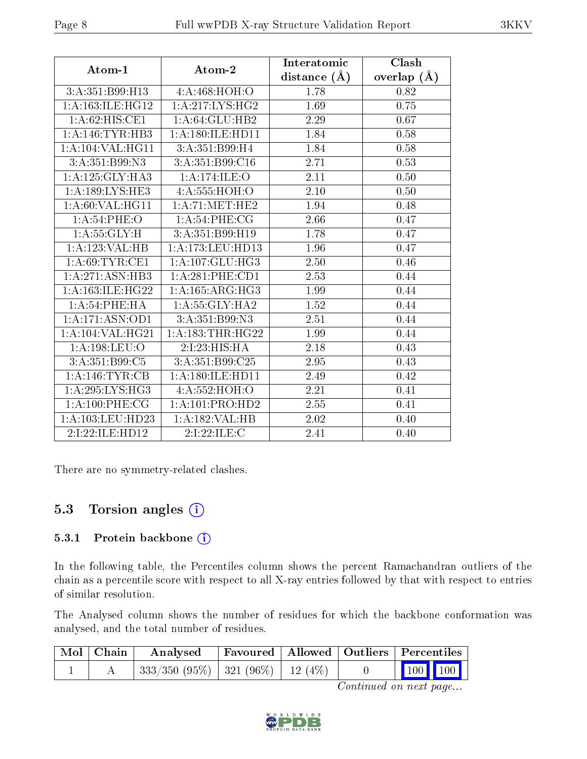|                                       | Atom-2                       | Interatomic       | Clash           |
|---------------------------------------|------------------------------|-------------------|-----------------|
| $\boldsymbol{\mathrm{Atom}\text{-}1}$ |                              | distance $(\AA)$  | overlap $(\AA)$ |
| 3:A:351:B99:H13                       | 4:A:468:HOH:O                | 1.78              | 0.82            |
| 1:A:163:ILE:HG12                      | 1: A:217: LYS: HG2           | 1.69              | 0.75            |
| 1: A:62: HIS: CE1                     | 1: A:64: GLU:HB2             | 2.29              | 0.67            |
| 1:A:146:TYR:HB3                       | 1: A: 180: ILE: HD11         | 1.84              | 0.58            |
| 1: A: 104: VAL: HG11                  | 3:A:351:B99:H4               | 1.84              | $0.58\,$        |
| $3: A: 351: \overline{B99: N3}$       | 3:A:351:B99:C16              | 2.71              | 0.53            |
| 1: A:125: GLY:HA3                     | 1:A:174:ILE:O                | 2.11              | 0.50            |
| 1: A: 189: LYS: HE3                   | 4: A: 555: HOH: O            | 2.10              | 0.50            |
| 1: A:60: VAL: HG11                    | 1: A:71: MET:HE2             | 1.94              | 0.48            |
| 1:A:54:PHE:O                          | 1: A:54:PHE:CG               | $\overline{2.66}$ | 0.47            |
| 1:A:55:GLY:H                          | $3:\overline{A:351:}B99:H19$ | 1.78              | 0.47            |
| 1:A:123:VAL:HB                        | 1:A:173:LEU:HD13             | 1.96              | 0.47            |
| 1: A:69:TYR:CE1                       | 1:A:107:GLU:HG3              | 2.50              | 0.46            |
| 1: A:271: ASN:HB3                     | 1: A:281:PHE:CD1             | 2.53              | 0.44            |
| $1:A:163:I\overline{\text{LE:HG22}}$  | 1:A:165:ARG:HG3              | 1.99              | 0.44            |
| 1:A:54:PHE:HA                         | 1: A: 55: GLY: HA2           | 1.52              | 0.44            |
| 1: A: 171: ASN: OD1                   | 3:A:351:B99:N3               | 2.51              | 0.44            |
| 1: A: 104: VAL: HG21                  | 1:A:183:THR:HG22             | 1.99              | 0.44            |
| 1:A:198:LEU:O                         | 2:1:23:HIS:HA                | 2.18              | 0.43            |
| 3:A:351:B99:C5                        | 3: A:351:B99:C25             | 2.95              | 0.43            |
| 1:A:146:TYR:CB                        | 1:A:180:ILE:HD11             | 2.49              | 0.42            |
| 1: A:295: LYS: HG3                    | 4:A:552:HOH:O                | 2.21              | 0.41            |
| 1: A:100: PHE:CG                      | 1:A:101:PRO:HD2              | 2.55              | 0.41            |
| 1:A:103:LEU:HD23                      | 1:A:182:VAL:HB               | 2.02              | 0.40            |
| 2:I:22:ILE:HD12                       | 2:1:22:1LE:C                 | 2.41              | 0.40            |

There are no symmetry-related clashes.

## 5.3 Torsion angles (i)

#### 5.3.1 Protein backbone (i)

In the following table, the Percentiles column shows the percent Ramachandran outliers of the chain as a percentile score with respect to all X-ray entries followed by that with respect to entries of similar resolution.

The Analysed column shows the number of residues for which the backbone conformation was analysed, and the total number of residues.

| Mol   Chain | Analysed                                 | $\mid$ Favoured $\mid$ Allowed $\mid$ Outliers $\mid$ Percentiles |  |                                                            |  |
|-------------|------------------------------------------|-------------------------------------------------------------------|--|------------------------------------------------------------|--|
|             | $333/350$ (95\%)   321 (96\%)   12 (4\%) |                                                                   |  | $\begin{array}{ c c c c }\n\hline\n100 & 100\n\end{array}$ |  |

Continued on next page...

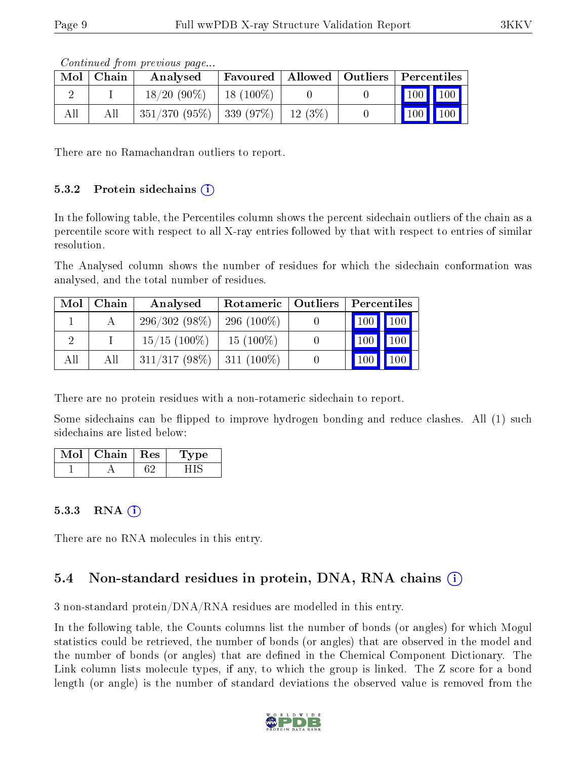|     | $\text{Mol} \mid \text{Chain} \mid$ | Analysed                                 |  | Favoured   Allowed   Outliers   Percentiles |
|-----|-------------------------------------|------------------------------------------|--|---------------------------------------------|
|     |                                     | $18/20$ (90%)   18 (100%)                |  | $\boxed{100}$ $\boxed{100}$                 |
| All | All                                 | $351/370$ (95\%)   339 (97\%)   12 (3\%) |  | $\mid$ 100 $\mid$ 100 $\mid$                |

Continued from previous page...

There are no Ramachandran outliers to report.

#### $5.3.2$  Protein sidechains  $(i)$

In the following table, the Percentiles column shows the percent sidechain outliers of the chain as a percentile score with respect to all X-ray entries followed by that with respect to entries of similar resolution.

The Analysed column shows the number of residues for which the sidechain conformation was analysed, and the total number of residues.

| Mol | Chain | Analysed        | Rotameric     | Outliers | Percentiles         |              |
|-----|-------|-----------------|---------------|----------|---------------------|--------------|
|     |       | $296/302(98\%)$ | 296 $(100\%)$ |          | $\vert$ 100 $\vert$ | $\sqrt{100}$ |
|     |       | $15/15$ (100\%) | $15(100\%)$   |          |                     | 100          |
| All | All   | $311/317(98\%)$ | $311(100\%)$  |          |                     |              |

There are no protein residues with a non-rotameric sidechain to report.

Some sidechains can be flipped to improve hydrogen bonding and reduce clashes. All (1) such sidechains are listed below:

| Mol | Chain | $\,$ Res $\,$ | vpe |
|-----|-------|---------------|-----|
|     |       |               |     |

### 5.3.3 RNA  $(i)$

There are no RNA molecules in this entry.

## 5.4 Non-standard residues in protein, DNA, RNA chains  $(i)$

3 non-standard protein/DNA/RNA residues are modelled in this entry.

In the following table, the Counts columns list the number of bonds (or angles) for which Mogul statistics could be retrieved, the number of bonds (or angles) that are observed in the model and the number of bonds (or angles) that are defined in the Chemical Component Dictionary. The Link column lists molecule types, if any, to which the group is linked. The Z score for a bond length (or angle) is the number of standard deviations the observed value is removed from the

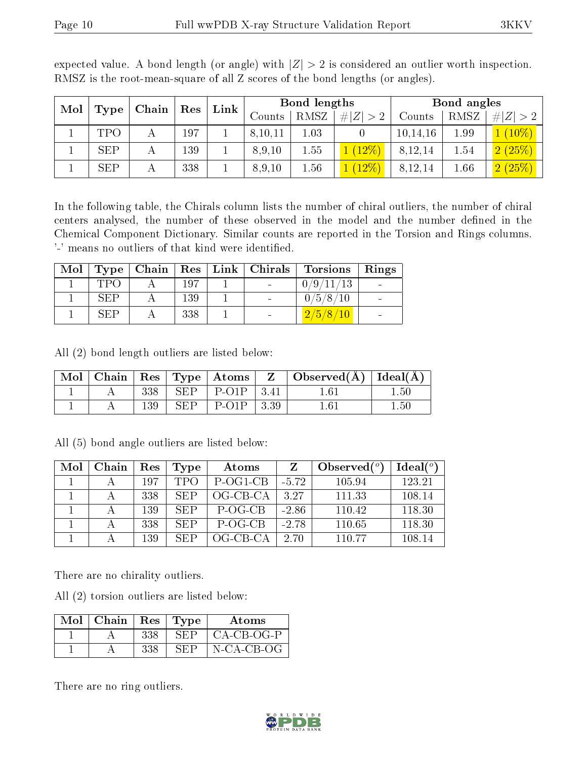| Mol<br>Chain<br>Type |            | $\operatorname{Res}$ | $\mathbf{Link}$ | Bond lengths |          |         | Bond angles |                        |          |
|----------------------|------------|----------------------|-----------------|--------------|----------|---------|-------------|------------------------|----------|
|                      |            |                      | Counts          | RMSZ         | #I       | Counts  | RMSZ        | H Z <br>2 <sup>1</sup> |          |
|                      | <b>TPO</b> | 197                  |                 | 8,10,11      | $1.03\,$ |         | 10, 14, 16  | 1.99                   | $10\%$   |
|                      | <b>SEP</b> | 139                  |                 | 8,9,10       | 1.55     | $12\%$  | 8,12,14     | 1.54                   | 2(25%)   |
|                      | <b>SEP</b> | 338                  |                 | 8,9,10       | $1.56\,$ | $12\%)$ | 8,12,14     | 1.66                   | (2 (25%) |

expected value. A bond length (or angle) with  $|Z| > 2$  is considered an outlier worth inspection. RMSZ is the root-mean-square of all Z scores of the bond lengths (or angles).

In the following table, the Chirals column lists the number of chiral outliers, the number of chiral centers analysed, the number of these observed in the model and the number defined in the Chemical Component Dictionary. Similar counts are reported in the Torsion and Rings columns. '-' means no outliers of that kind were identified.

| Mol |       |     | $\vert$ Type   Chain   Res   Link   Chirals | <b>Torsions</b> | $\vert$ Rings |
|-----|-------|-----|---------------------------------------------|-----------------|---------------|
|     | TPO   | 197 |                                             | 0/9/11/13       |               |
|     | SEP   | 139 |                                             | 0/5/8/10        |               |
|     | -SEP- | 338 |                                             | 2/5/8/10        |               |

All (2) bond length outliers are listed below:

| Mol |     |                      | Chain   $\text{Res}$   $\text{Type}$   Atoms | $\mathbf{Z}$ | Observed( $\AA$ )   Ideal( $\AA$ ) |       |
|-----|-----|----------------------|----------------------------------------------|--------------|------------------------------------|-------|
|     | 338 | SEP                  | $P-O1P$   3.41                               |              | $1.6\degree$                       | . .50 |
|     | 139 | $\operatorname{SEP}$ | $P-O1P$                                      | 3.39         | $1.6^{\scriptscriptstyle\cdot}$    | 1.50  |

All (5) bond angle outliers are listed below:

| Mol | Chain | Res | Type       | Atoms      |         | Observed $(°)$ | $Ideal(^o)$ |
|-----|-------|-----|------------|------------|---------|----------------|-------------|
|     |       | 197 | <b>TPO</b> | P-OG1-CB   | $-5.72$ | 105.94         | 123.21      |
|     |       | 338 | SEP        | $OG-CB-CA$ | 3.27    | 111.33         | 108.14      |
|     |       | 139 | <b>SEP</b> | P-OG-CB    | $-2.86$ | 110.42         | 118.30      |
|     |       | 338 | <b>SEP</b> | P-OG-CB    | $-2.78$ | 110.65         | 118.30      |
|     |       | 139 | SEP        | OG-CB-CA   | 2.70    | 110.77         | 108.14      |

There are no chirality outliers.

All (2) torsion outliers are listed below:

| $\operatorname{Mol}$ . | $\mid$ Chain | $\operatorname{Res}$ | Type   | Atoms        |
|------------------------|--------------|----------------------|--------|--------------|
|                        |              | 338                  | SEP    | $CA-CB-OG-P$ |
|                        |              | 338                  | … ヒドトー | N-CA-CB-OG   |

There are no ring outliers.

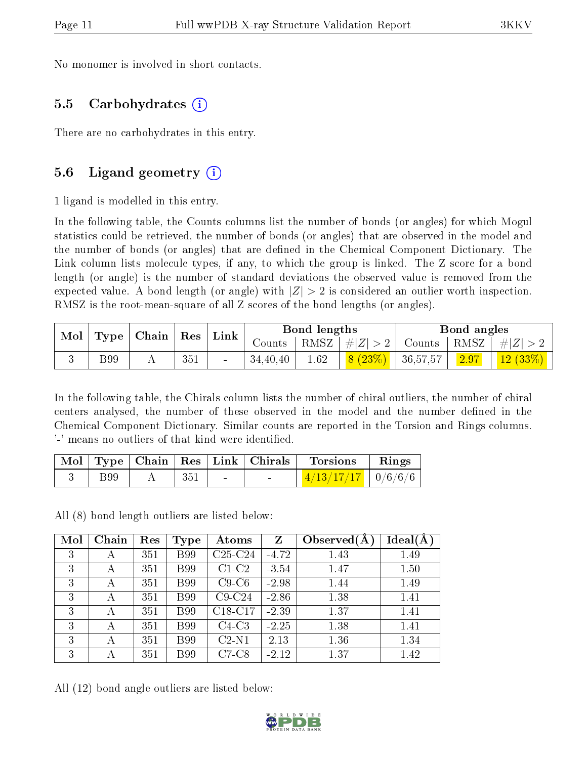No monomer is involved in short contacts.

#### 5.5 Carbohydrates (i)

There are no carbohydrates in this entry.

### 5.6 Ligand geometry (i)

1 ligand is modelled in this entry.

In the following table, the Counts columns list the number of bonds (or angles) for which Mogul statistics could be retrieved, the number of bonds (or angles) that are observed in the model and the number of bonds (or angles) that are dened in the Chemical Component Dictionary. The Link column lists molecule types, if any, to which the group is linked. The Z score for a bond length (or angle) is the number of standard deviations the observed value is removed from the expected value. A bond length (or angle) with  $|Z| > 2$  is considered an outlier worth inspection. RMSZ is the root-mean-square of all Z scores of the bond lengths (or angles).

| Mol | Type        | Chain | Res | Link           | Bond lengths |      |            | Bond angles   |      |         |  |
|-----|-------------|-------|-----|----------------|--------------|------|------------|---------------|------|---------|--|
|     |             |       |     |                | Counts       | RMSZ | $\# Z $    | $\rm{Counts}$ | RMSZ | Z       |  |
|     | <b>B</b> 99 |       | 351 | $\blacksquare$ | 34,40,40     | 1.62 | $\sqrt{8}$ | 36,57,57      | 2.97 | 12(33%) |  |

In the following table, the Chirals column lists the number of chiral outliers, the number of chiral centers analysed, the number of these observed in the model and the number defined in the Chemical Component Dictionary. Similar counts are reported in the Torsion and Rings columns. '-' means no outliers of that kind were identified.

|             |     |        | Mol   Type   Chain   Res   Link   Chirals | <b>Torsions</b>        | Rings |
|-------------|-----|--------|-------------------------------------------|------------------------|-------|
| <b>B</b> 99 | 351 | $\sim$ | $\sim$                                    | $1/13/17/17$   0/6/6/6 |       |

All (8) bond length outliers are listed below:

| Mol | Chain | Res | Type        | Atoms       | Z       | Observed $(A)$ | Ideal(A) |
|-----|-------|-----|-------------|-------------|---------|----------------|----------|
| 3   | А     | 351 | <b>B</b> 99 | $C25-C24$   | $-4.72$ | 1.43           | 1.49     |
| 3   | А     | 351 | <b>B</b> 99 | $C1-C2$     | $-3.54$ | 1.47           | 1.50     |
| 3   | А     | 351 | <b>B</b> 99 | $C9$ - $C6$ | $-2.98$ | 1.44           | 1.49     |
| 3   | А     | 351 | <b>B</b> 99 | $C9-C24$    | $-2.86$ | 1.38           | 1.41     |
| 3   | А     | 351 | <b>B</b> 99 | C18-C17     | $-2.39$ | 1.37           | 1.41     |
| 3   | А     | 351 | <b>B</b> 99 | $C4-C3$     | $-2.25$ | 1.38           | 1.41     |
| 3   | А     | 351 | <b>B</b> 99 | $C2-N1$     | 2.13    | 1.36           | 1.34     |
| 3   |       | 351 | <b>B</b> 99 | $C7-C8$     | $-2.12$ | 1.37           | 1.42     |

All (12) bond angle outliers are listed below:

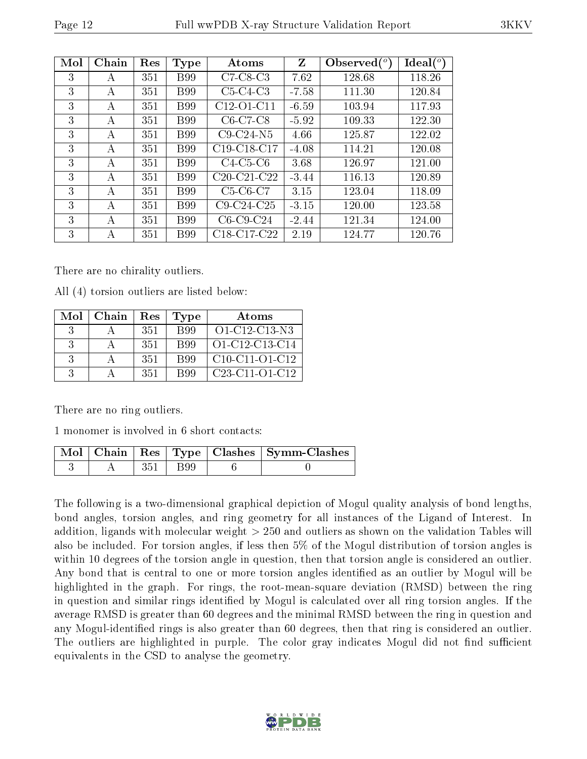|--|

| Mol | Chain | Res | Type        | Atoms                                            | Z       | Observed $(°)$ | $Ideal(^o)$ |
|-----|-------|-----|-------------|--------------------------------------------------|---------|----------------|-------------|
| 3   | А     | 351 | <b>B</b> 99 | $C7-C8-C3$                                       | 7.62    | 128.68         | 118.26      |
| 3   | А     | 351 | <b>B</b> 99 | $C5-C4-C3$                                       | $-7.58$ | 111.30         | 120.84      |
| 3   | А     | 351 | <b>B</b> 99 | C <sub>12</sub> -O <sub>1</sub> -C <sub>11</sub> | $-6.59$ | 103.94         | 117.93      |
| 3   | А     | 351 | <b>B</b> 99 | $C6-C7-C8$                                       | $-5.92$ | 109.33         | 122.30      |
| 3   | А     | 351 | <b>B</b> 99 | $C9-C24-N5$                                      | 4.66    | 125.87         | 122.02      |
| 3   | А     | 351 | <b>B</b> 99 | $C19-C18-C17$                                    | $-4.08$ | 114.21         | 120.08      |
| 3   | A     | 351 | <b>B</b> 99 | $C4-C5-C6$                                       | 3.68    | 126.97         | 121.00      |
| 3   | A     | 351 | <b>B99</b>  | $C20-C21-C22$                                    | $-3.44$ | 116.13         | 120.89      |
| 3   | А     | 351 | <b>B</b> 99 | $C5-C6-C7$                                       | 3.15    | 123.04         | 118.09      |
| 3   | А     | 351 | <b>B</b> 99 | $C9-C24-C25$                                     | $-3.15$ | 120.00         | 123.58      |
| 3   | А     | 351 | <b>B</b> 99 | $C6-C9-C24$                                      | $-2.44$ | 121.34         | 124.00      |
| 3   | А     | 351 | <b>B</b> 99 | C18-C17-C22                                      | 2.19    | 124.77         | 120.76      |

There are no chirality outliers.

All (4) torsion outliers are listed below:

| Mol           | Chain | Res | <b>Type</b> | Atoms                  |
|---------------|-------|-----|-------------|------------------------|
| $\mathcal{R}$ |       | 351 | <b>B</b> 99 | O1-C12-C13-N3          |
| $\mathcal{R}$ |       | 351 | <b>B</b> 99 | $O1 - C12 - C13 - C14$ |
| $\mathcal{S}$ |       | 351 | <b>B</b> 99 | $C10-C11-C1-C12$       |
| $\mathcal{R}$ |       | 351 | <b>B</b> 99 | $C23-C11-C1-C12$       |

There are no ring outliers.

1 monomer is involved in 6 short contacts:

|  |             | $\lceil$ Mol $\lceil$ Chain $\lceil$ Res $\lceil$ Type $\lceil$ Clashes $\lceil$ Symm-Clashes $\lceil$ |
|--|-------------|--------------------------------------------------------------------------------------------------------|
|  | $351$   B99 |                                                                                                        |

The following is a two-dimensional graphical depiction of Mogul quality analysis of bond lengths, bond angles, torsion angles, and ring geometry for all instances of the Ligand of Interest. In addition, ligands with molecular weight > 250 and outliers as shown on the validation Tables will also be included. For torsion angles, if less then 5% of the Mogul distribution of torsion angles is within 10 degrees of the torsion angle in question, then that torsion angle is considered an outlier. Any bond that is central to one or more torsion angles identified as an outlier by Mogul will be highlighted in the graph. For rings, the root-mean-square deviation (RMSD) between the ring in question and similar rings identified by Mogul is calculated over all ring torsion angles. If the average RMSD is greater than 60 degrees and the minimal RMSD between the ring in question and any Mogul-identified rings is also greater than 60 degrees, then that ring is considered an outlier. The outliers are highlighted in purple. The color gray indicates Mogul did not find sufficient equivalents in the CSD to analyse the geometry.

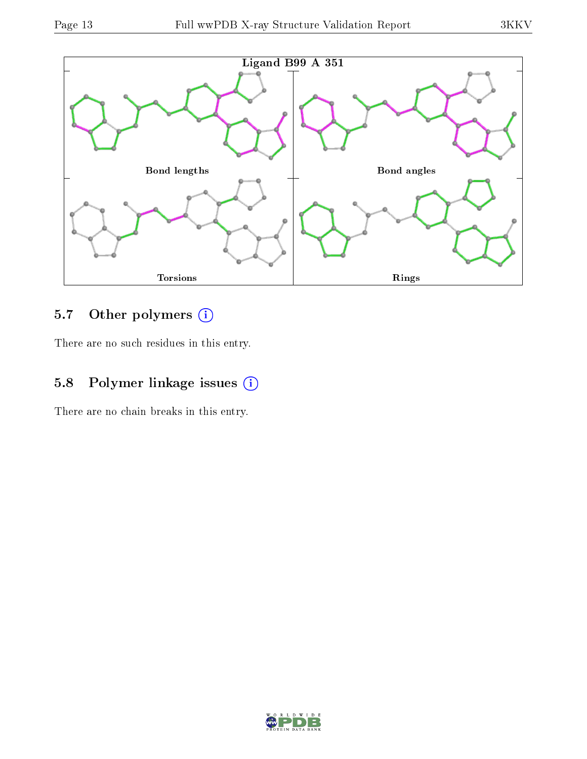

## 5.7 [O](https://www.wwpdb.org/validation/2017/XrayValidationReportHelp#nonstandard_residues_and_ligands)ther polymers (i)

There are no such residues in this entry.

## 5.8 Polymer linkage issues (i)

There are no chain breaks in this entry.

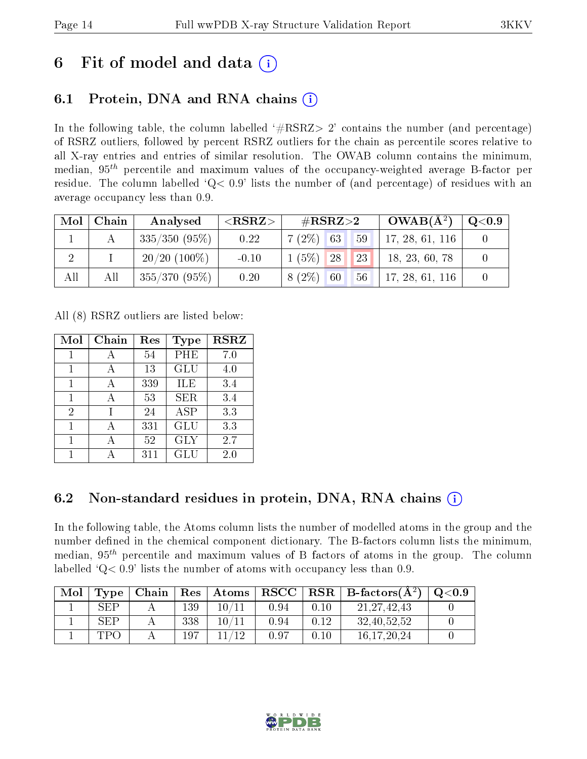## 6 Fit of model and data  $\left( \cdot \right)$

## 6.1 Protein, DNA and RNA chains (i)

In the following table, the column labelled  $#RSRZ>2'$  contains the number (and percentage) of RSRZ outliers, followed by percent RSRZ outliers for the chain as percentile scores relative to all X-ray entries and entries of similar resolution. The OWAB column contains the minimum, median,  $95<sup>th</sup>$  percentile and maximum values of the occupancy-weighted average B-factor per residue. The column labelled ' $Q< 0.9$ ' lists the number of (and percentage) of residues with an average occupancy less than 0.9.

| Mol | Chain | Analysed        | $<$ RSRZ $>$ | $\#\text{RSRZ}{>}2$ |    | $OWAB(A^2)$     | $\rm{Q}\textcolor{black}{<}0.9$ |
|-----|-------|-----------------|--------------|---------------------|----|-----------------|---------------------------------|
|     |       | $335/350(95\%)$ | 0.22         | $7(2\%)$ 63         | 59 | 17, 28, 61, 116 |                                 |
|     |       | $20/20$ (100\%) | $-0.10$      | $1(5\%)$ 28         | 23 | 18, 23, 60, 78  |                                 |
| All | All   | $355/370(95\%)$ | 0.20         | $8(2\%)$<br> 60     | 56 | 17, 28, 61, 116 |                                 |

All (8) RSRZ outliers are listed below:

| Mol            | Chain | Res | Type       | <b>RSRZ</b> |
|----------------|-------|-----|------------|-------------|
|                |       | 54  | PHE        | 7.0         |
| 1              |       | 13  | GLU        | 4.0         |
| $\mathbf{1}$   |       | 339 | ILE        | 3.4         |
| $\mathbf{1}$   | А     | 53  | <b>SER</b> | 3.4         |
| $\overline{2}$ |       | 24  | <b>ASP</b> | 3.3         |
| 1              |       | 331 | GLU        | 3.3         |
|                |       | 52  | <b>GLY</b> | 2.7         |
|                |       | 311 | GLU        | 2.0         |

### 6.2 Non-standard residues in protein, DNA, RNA chains (i)

In the following table, the Atoms column lists the number of modelled atoms in the group and the number defined in the chemical component dictionary. The B-factors column lists the minimum, median,  $95<sup>th</sup>$  percentile and maximum values of B factors of atoms in the group. The column labelled  $Q< 0.9$ ' lists the number of atoms with occupancy less than 0.9.

| Mol | Type       | Chain | $\operatorname{Res}$ | $\vert$ Atoms $\vert$ | $\mid$ RSCC $\mid$ |      | $RSR \mid$ B-factors $(A^2)$ | Q <sub>0.9</sub> |
|-----|------------|-------|----------------------|-----------------------|--------------------|------|------------------------------|------------------|
|     | SEP        |       | 139                  | 10/11                 | 0.94               | 0.10 | 21, 27, 42, 43               |                  |
|     | <b>SEP</b> |       | 338                  | $10\, / 11$           | 0.94               | 0.12 | 32,40,52,52                  |                  |
|     | <b>TPO</b> |       | $197\,$              | 11/12                 | 0.97               | 0.10 | 16, 17, 20, 24               |                  |